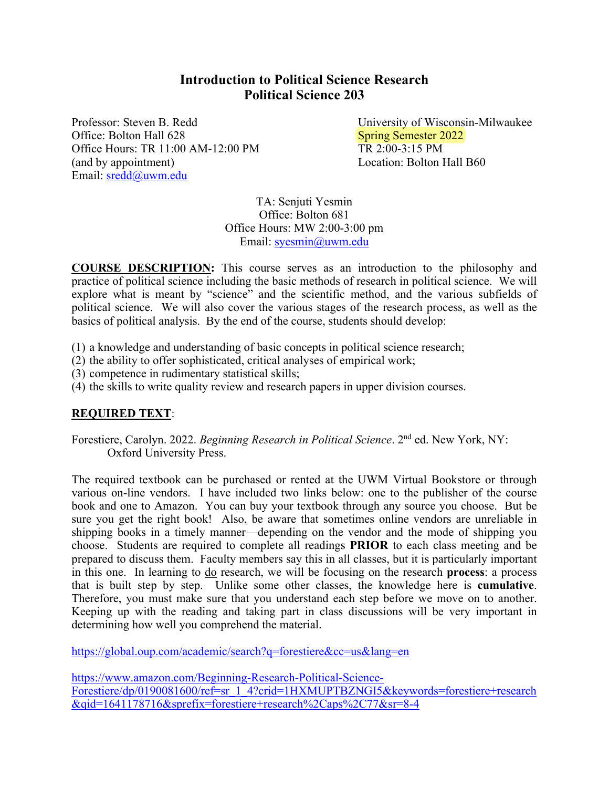# **Introduction to Political Science Research Political Science 203**

Professor: Steven B. Redd University of Wisconsin-Milwaukee Office: Bolton Hall 628 Spring Semester 2022 Office Hours: TR 11:00 AM-12:00 PM TR 2:00-3:15 PM (and by appointment) Location: Bolton Hall B60 Email: sredd@uwm.edu

TA: Senjuti Yesmin Office: Bolton 681 Office Hours: MW 2:00-3:00 pm Email: syesmin@uwm.edu

**COURSE DESCRIPTION:** This course serves as an introduction to the philosophy and practice of political science including the basic methods of research in political science. We will explore what is meant by "science" and the scientific method, and the various subfields of political science. We will also cover the various stages of the research process, as well as the basics of political analysis. By the end of the course, students should develop:

- (1) a knowledge and understanding of basic concepts in political science research;
- (2) the ability to offer sophisticated, critical analyses of empirical work;
- (3) competence in rudimentary statistical skills;
- (4) the skills to write quality review and research papers in upper division courses.

### **REQUIRED TEXT**:

Forestiere, Carolyn. 2022. *Beginning Research in Political Science*. 2nd ed. New York, NY: Oxford University Press.

The required textbook can be purchased or rented at the UWM Virtual Bookstore or through various on-line vendors. I have included two links below: one to the publisher of the course book and one to Amazon. You can buy your textbook through any source you choose. But be sure you get the right book! Also, be aware that sometimes online vendors are unreliable in shipping books in a timely manner—depending on the vendor and the mode of shipping you choose. Students are required to complete all readings **PRIOR** to each class meeting and be prepared to discuss them. Faculty members say this in all classes, but it is particularly important in this one. In learning to do research, we will be focusing on the research **process**: a process that is built step by step. Unlike some other classes, the knowledge here is **cumulative**. Therefore, you must make sure that you understand each step before we move on to another. Keeping up with the reading and taking part in class discussions will be very important in determining how well you comprehend the material.

https://global.oup.com/academic/search?q=forestiere&cc=us&lang=en

https://www.amazon.com/Beginning-Research-Political-Science-Forestiere/dp/0190081600/ref=sr\_1\_4?crid=1HXMUPTBZNGI5&keywords=forestiere+research &qid=1641178716&sprefix=forestiere+research%2Caps%2C77&sr=8-4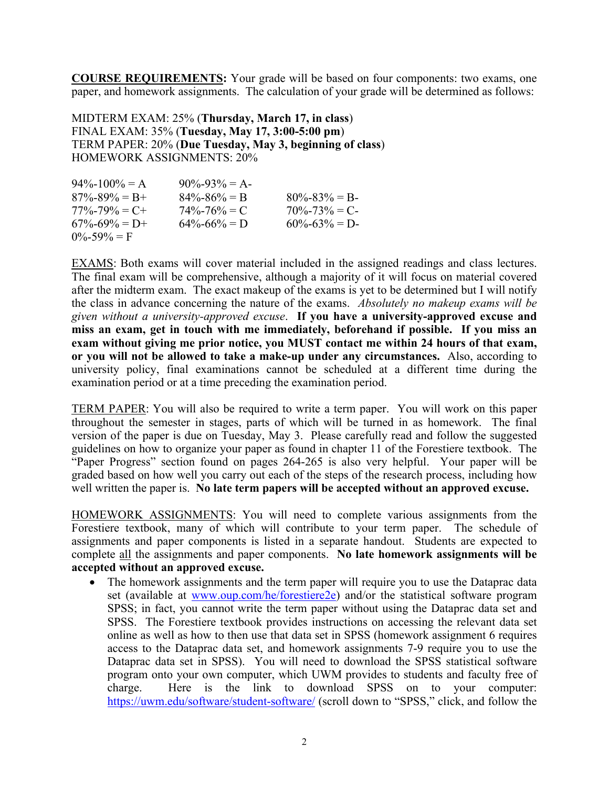**COURSE REQUIREMENTS:** Your grade will be based on four components: two exams, one paper, and homework assignments. The calculation of your grade will be determined as follows:

MIDTERM EXAM: 25% (**Thursday, March 17, in class**) FINAL EXAM: 35% (**Tuesday, May 17, 3:00-5:00 pm**) TERM PAPER: 20% (**Due Tuesday, May 3, beginning of class**) HOMEWORK ASSIGNMENTS: 20%

| $94\% - 100\% = A$  | $90\% - 93\% = A$ |                   |
|---------------------|-------------------|-------------------|
| $87\% - 89\% = B +$ | $84\% - 86\% = B$ | $80\% - 83\% = B$ |
| $77\% - 79\% = C +$ | $74\% - 76\% = C$ | $70\% - 73\% = C$ |
| $67\% - 69\% = D +$ | $64\% - 66\% = D$ | $60\% - 63\% = D$ |
| $0\% - 59\% = F$    |                   |                   |

EXAMS: Both exams will cover material included in the assigned readings and class lectures. The final exam will be comprehensive, although a majority of it will focus on material covered after the midterm exam. The exact makeup of the exams is yet to be determined but I will notify the class in advance concerning the nature of the exams. *Absolutely no makeup exams will be given without a university-approved excuse*. **If you have a university-approved excuse and miss an exam, get in touch with me immediately, beforehand if possible. If you miss an exam without giving me prior notice, you MUST contact me within 24 hours of that exam, or you will not be allowed to take a make-up under any circumstances.** Also, according to university policy, final examinations cannot be scheduled at a different time during the examination period or at a time preceding the examination period.

TERM PAPER: You will also be required to write a term paper. You will work on this paper throughout the semester in stages, parts of which will be turned in as homework. The final version of the paper is due on Tuesday, May 3. Please carefully read and follow the suggested guidelines on how to organize your paper as found in chapter 11 of the Forestiere textbook. The "Paper Progress" section found on pages 264-265 is also very helpful. Your paper will be graded based on how well you carry out each of the steps of the research process, including how well written the paper is. **No late term papers will be accepted without an approved excuse.**

HOMEWORK ASSIGNMENTS: You will need to complete various assignments from the Forestiere textbook, many of which will contribute to your term paper. The schedule of assignments and paper components is listed in a separate handout. Students are expected to complete all the assignments and paper components. **No late homework assignments will be accepted without an approved excuse.** 

• The homework assignments and the term paper will require you to use the Dataprac data set (available at www.oup.com/he/forestiere2e) and/or the statistical software program SPSS; in fact, you cannot write the term paper without using the Dataprac data set and SPSS. The Forestiere textbook provides instructions on accessing the relevant data set online as well as how to then use that data set in SPSS (homework assignment 6 requires access to the Dataprac data set, and homework assignments 7-9 require you to use the Dataprac data set in SPSS). You will need to download the SPSS statistical software program onto your own computer, which UWM provides to students and faculty free of charge. Here is the link to download SPSS on to your computer: https://uwm.edu/software/student-software/ (scroll down to "SPSS," click, and follow the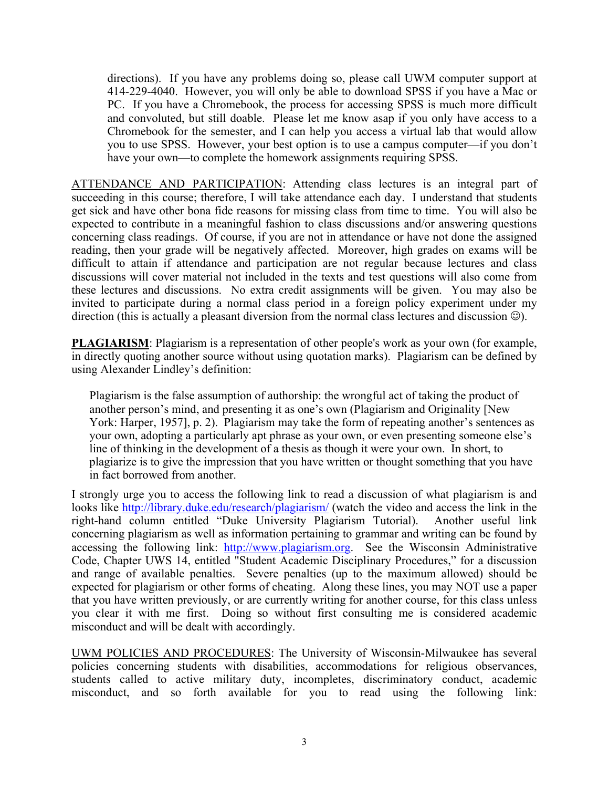directions). If you have any problems doing so, please call UWM computer support at 414-229-4040. However, you will only be able to download SPSS if you have a Mac or PC. If you have a Chromebook, the process for accessing SPSS is much more difficult and convoluted, but still doable. Please let me know asap if you only have access to a Chromebook for the semester, and I can help you access a virtual lab that would allow you to use SPSS. However, your best option is to use a campus computer—if you don't have your own—to complete the homework assignments requiring SPSS.

ATTENDANCE AND PARTICIPATION: Attending class lectures is an integral part of succeeding in this course; therefore, I will take attendance each day. I understand that students get sick and have other bona fide reasons for missing class from time to time. You will also be expected to contribute in a meaningful fashion to class discussions and/or answering questions concerning class readings. Of course, if you are not in attendance or have not done the assigned reading, then your grade will be negatively affected. Moreover, high grades on exams will be difficult to attain if attendance and participation are not regular because lectures and class discussions will cover material not included in the texts and test questions will also come from these lectures and discussions. No extra credit assignments will be given. You may also be invited to participate during a normal class period in a foreign policy experiment under my direction (this is actually a pleasant diversion from the normal class lectures and discussion  $\circledcirc$ ).

**PLAGIARISM**: Plagiarism is a representation of other people's work as your own (for example, in directly quoting another source without using quotation marks). Plagiarism can be defined by using Alexander Lindley's definition:

Plagiarism is the false assumption of authorship: the wrongful act of taking the product of another person's mind, and presenting it as one's own (Plagiarism and Originality [New York: Harper, 1957], p. 2). Plagiarism may take the form of repeating another's sentences as your own, adopting a particularly apt phrase as your own, or even presenting someone else's line of thinking in the development of a thesis as though it were your own. In short, to plagiarize is to give the impression that you have written or thought something that you have in fact borrowed from another.

I strongly urge you to access the following link to read a discussion of what plagiarism is and looks like http://library.duke.edu/research/plagiarism/ (watch the video and access the link in the right-hand column entitled "Duke University Plagiarism Tutorial). Another useful link concerning plagiarism as well as information pertaining to grammar and writing can be found by accessing the following link: http://www.plagiarism.org. See the Wisconsin Administrative Code, Chapter UWS 14, entitled "Student Academic Disciplinary Procedures," for a discussion and range of available penalties. Severe penalties (up to the maximum allowed) should be expected for plagiarism or other forms of cheating. Along these lines, you may NOT use a paper that you have written previously, or are currently writing for another course, for this class unless you clear it with me first. Doing so without first consulting me is considered academic misconduct and will be dealt with accordingly.

UWM POLICIES AND PROCEDURES: The University of Wisconsin-Milwaukee has several policies concerning students with disabilities, accommodations for religious observances, students called to active military duty, incompletes, discriminatory conduct, academic misconduct, and so forth available for you to read using the following link: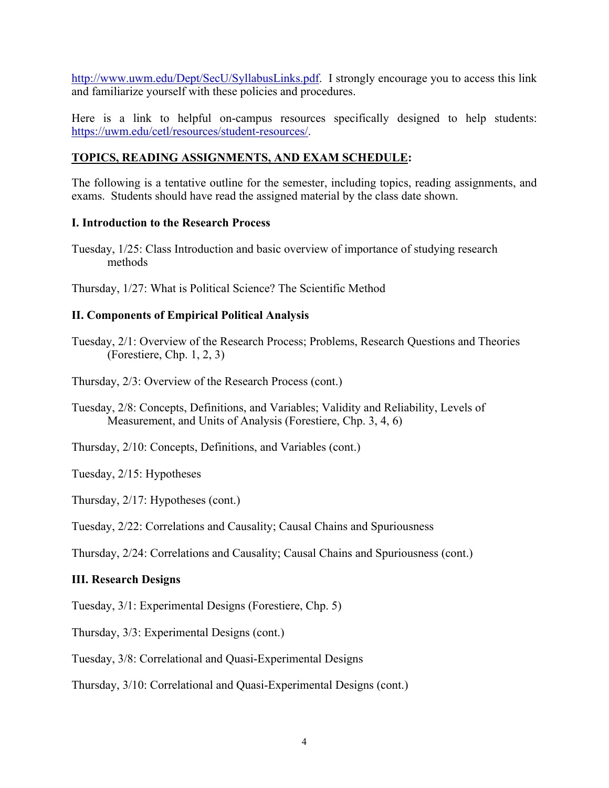http://www.uwm.edu/Dept/SecU/SyllabusLinks.pdf. I strongly encourage you to access this link and familiarize yourself with these policies and procedures.

Here is a link to helpful on-campus resources specifically designed to help students: https://uwm.edu/cetl/resources/student-resources/.

## **TOPICS, READING ASSIGNMENTS, AND EXAM SCHEDULE:**

The following is a tentative outline for the semester, including topics, reading assignments, and exams. Students should have read the assigned material by the class date shown.

#### **I. Introduction to the Research Process**

Tuesday, 1/25: Class Introduction and basic overview of importance of studying research methods

Thursday, 1/27: What is Political Science? The Scientific Method

### **II. Components of Empirical Political Analysis**

Tuesday, 2/1: Overview of the Research Process; Problems, Research Questions and Theories (Forestiere, Chp. 1, 2, 3)

Thursday, 2/3: Overview of the Research Process (cont.)

Tuesday, 2/8: Concepts, Definitions, and Variables; Validity and Reliability, Levels of Measurement, and Units of Analysis (Forestiere, Chp. 3, 4, 6)

Thursday, 2/10: Concepts, Definitions, and Variables (cont.)

Tuesday, 2/15: Hypotheses

Thursday, 2/17: Hypotheses (cont.)

Tuesday, 2/22: Correlations and Causality; Causal Chains and Spuriousness

Thursday, 2/24: Correlations and Causality; Causal Chains and Spuriousness (cont.)

### **III. Research Designs**

Tuesday, 3/1: Experimental Designs (Forestiere, Chp. 5)

Thursday, 3/3: Experimental Designs (cont.)

Tuesday, 3/8: Correlational and Quasi-Experimental Designs

Thursday, 3/10: Correlational and Quasi-Experimental Designs (cont.)